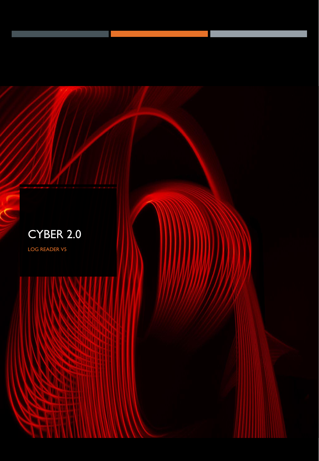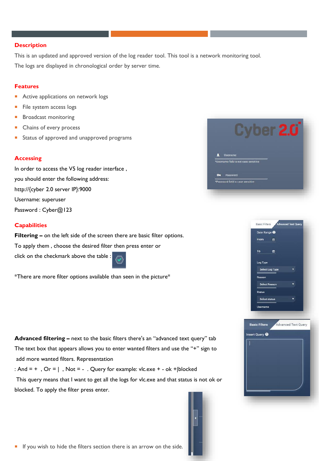#### **Description**

This is an updated and approved version of the log reader tool. This tool is a network monitoring tool. The logs are displayed in chronological order by server time.

#### **Features**

- **Active applications on network logs**
- File system access logs
- **Broadcast monitoring**
- **Chains of every process**
- **Status of approved and unapproved programs**

# **Accessing**

In order to access the V5 log reader interface , you should enter the following address: http://{cyber 2.0 server IP}:9000 Username: superuser Password : Cyber@123

# **Capabilities**

**Filtering –** on the left side of the screen there are basic filter options. To apply them , choose the desired filter then press enter or click on the checkmark above the table :

\*There are more filter options available than seen in the picture\*

**Advanced filtering –** next to the basic filters there's an "advanced text query" tab The text box that appears allows you to enter wanted filters and use the "+" sign to add more wanted filters. Representation

: And =  $+$ , Or =  $\vert$ , Not = -. Query for example: vlc.exe  $+$  - ok + |blocked

This query means that I want to get all the logs for vlc.exe and that status is not ok or blocked. To apply the filter press enter.







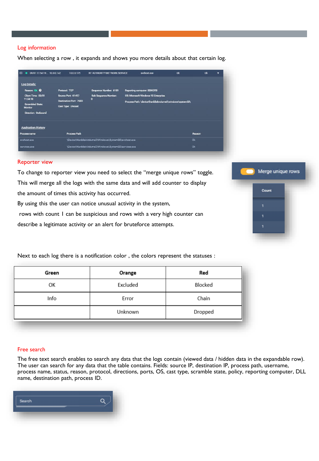# Log information

When selecting a row , it expands and shows you more details about that certain log.

| 09/01 11:54:19 10.0.0.142                                     | 1000175                                               | NT AUTHORITY\NETWORK SERVICE         | sychost exe                                             | <b>Ok</b> | ok | ۰ |
|---------------------------------------------------------------|-------------------------------------------------------|--------------------------------------|---------------------------------------------------------|-----------|----|---|
| <b>Log Details:</b>                                           |                                                       |                                      |                                                         |           |    |   |
| Reason: Ok @                                                  | Protocol: TCP                                         | Sequence Number: 6189                | <b>Reporting computer: BDIKOT8</b>                      |           |    |   |
| Client Time: 09/01<br>11:54:18<br>Scrambled State:<br>Monitor | Source Port 61457                                     | Sub Sequence Number:<br>$\mathbf{0}$ | OS: Microsoft Windows 10 Enterprise                     |           |    |   |
|                                                               | Destination Port: 7680<br><b>Cast Type: Unicast</b>   |                                      | Process Path: \device\harddiskvolume2\windows\system32\ |           |    |   |
|                                                               |                                                       |                                      |                                                         |           |    |   |
| Direction: Outbound                                           |                                                       |                                      |                                                         |           |    |   |
| <b>Application History</b>                                    |                                                       |                                      |                                                         |           |    |   |
| Process name                                                  | <b>Process Path</b>                                   |                                      |                                                         | Reason    |    |   |
| sychostexe                                                    | \Device\HarddiskVolume2\Windows\System32\svchost.exe  |                                      |                                                         | Ok        |    |   |
| <b>SPIVICAS PXP</b>                                           | \Device\HarddiskVolume2\Windows\System32\services.exe |                                      |                                                         | Ok        |    |   |

#### Reporter view

To change to reporter view you need to select the "merge unique rows" toggle. This will merge all the logs with the same data and will add counter to display the amount of times this activity has occurred.

By using this the user can notice unusual activity in the system,

rows with count 1 can be suspicious and rows with a very high counter can

Next to each log there is a notification color , the colors represent the statuses :

describe a legitimate activity or an alert for bruteforce attempts.



Green Red Orange OK Excluded Blocked Info Error Chain

Unknown

## Free search

The free text search enables to search any data that the logs contain (viewed data / hidden data in the expandable row). The user can search for any data that the table contains. Fields: source IP, destination IP, process path, username, process name, status, reason, protocol, directions, ports, OS, cast type, scramble state, policy, reporting computer, DLL name, destination path, process ID.

Dropped

| Search |  |
|--------|--|
|        |  |